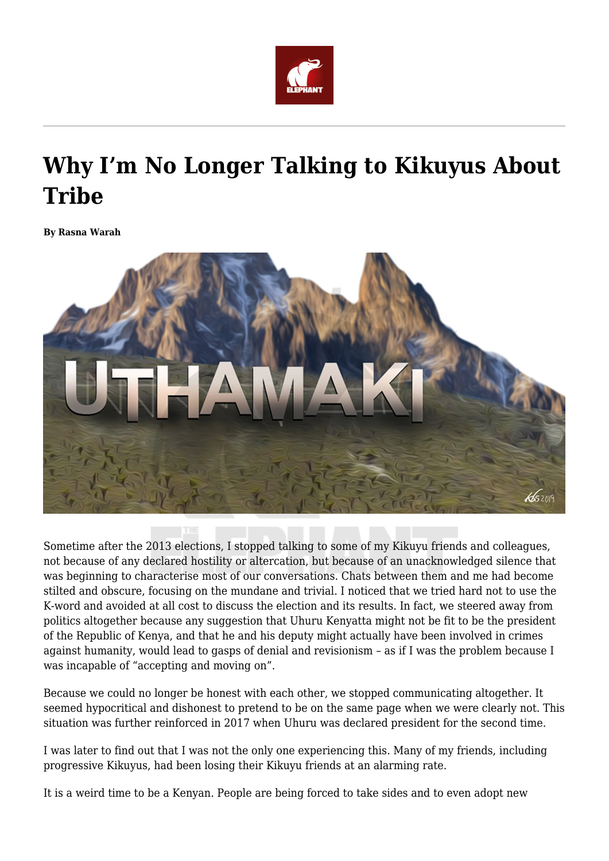

## **Why I'm No Longer Talking to Kikuyus About Tribe**

**By Rasna Warah**



Sometime after the 2013 elections, I stopped talking to some of my Kikuyu friends and colleagues, not because of any declared hostility or altercation, but because of an unacknowledged silence that was beginning to characterise most of our conversations. Chats between them and me had become stilted and obscure, focusing on the mundane and trivial. I noticed that we tried hard not to use the K-word and avoided at all cost to discuss the election and its results. In fact, we steered away from politics altogether because any suggestion that Uhuru Kenyatta might not be fit to be the president of the Republic of Kenya, and that he and his deputy might actually have been involved in crimes against humanity, would lead to gasps of denial and revisionism – as if I was the problem because I was incapable of "accepting and moving on".

Because we could no longer be honest with each other, we stopped communicating altogether. It seemed hypocritical and dishonest to pretend to be on the same page when we were clearly not. This situation was further reinforced in 2017 when Uhuru was declared president for the second time.

I was later to find out that I was not the only one experiencing this. Many of my friends, including progressive Kikuyus, had been losing their Kikuyu friends at an alarming rate.

It is a weird time to be a Kenyan. People are being forced to take sides and to even adopt new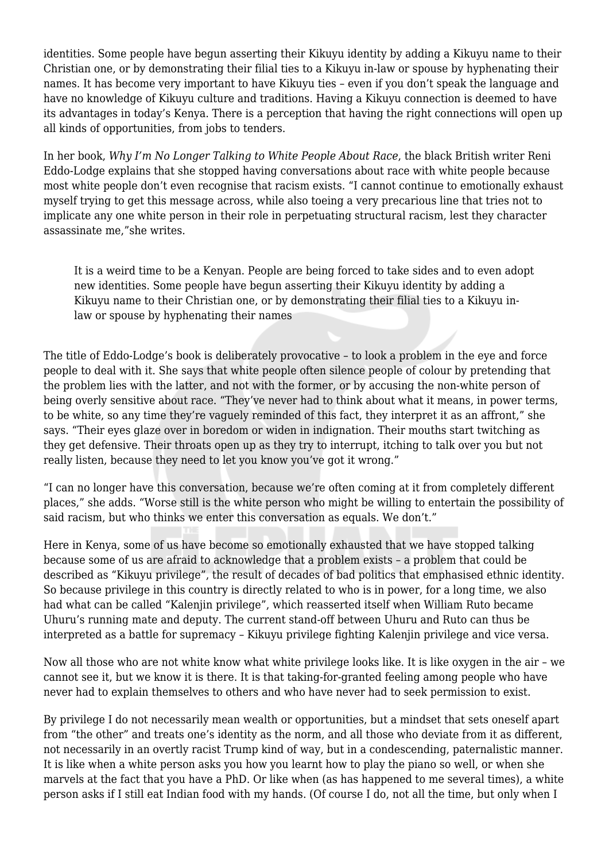identities. Some people have begun asserting their Kikuyu identity by adding a Kikuyu name to their Christian one, or by demonstrating their filial ties to a Kikuyu in-law or spouse by hyphenating their names. It has become very important to have Kikuyu ties – even if you don't speak the language and have no knowledge of Kikuyu culture and traditions. Having a Kikuyu connection is deemed to have its advantages in today's Kenya. There is a perception that having the right connections will open up all kinds of opportunities, from jobs to tenders.

In her book, *Why I'm No Longer Talking to White People About Race*, the black British writer Reni Eddo-Lodge explains that she stopped having conversations about race with white people because most white people don't even recognise that racism exists. "I cannot continue to emotionally exhaust myself trying to get this message across, while also toeing a very precarious line that tries not to implicate any one white person in their role in perpetuating structural racism, lest they character assassinate me,"she writes.

It is a weird time to be a Kenyan. People are being forced to take sides and to even adopt new identities. Some people have begun asserting their Kikuyu identity by adding a Kikuyu name to their Christian one, or by demonstrating their filial ties to a Kikuyu inlaw or spouse by hyphenating their names

The title of Eddo-Lodge's book is deliberately provocative – to look a problem in the eye and force people to deal with it. She says that white people often silence people of colour by pretending that the problem lies with the latter, and not with the former, or by accusing the non-white person of being overly sensitive about race. "They've never had to think about what it means, in power terms, to be white, so any time they're vaguely reminded of this fact, they interpret it as an affront," she says. "Their eyes glaze over in boredom or widen in indignation. Their mouths start twitching as they get defensive. Their throats open up as they try to interrupt, itching to talk over you but not really listen, because they need to let you know you've got it wrong."

"I can no longer have this conversation, because we're often coming at it from completely different places," she adds. "Worse still is the white person who might be willing to entertain the possibility of said racism, but who thinks we enter this conversation as equals. We don't."

Here in Kenya, some of us have become so emotionally exhausted that we have stopped talking because some of us are afraid to acknowledge that a problem exists – a problem that could be described as "Kikuyu privilege", the result of decades of bad politics that emphasised ethnic identity. So because privilege in this country is directly related to who is in power, for a long time, we also had what can be called "Kalenjin privilege", which reasserted itself when William Ruto became Uhuru's running mate and deputy. The current stand-off between Uhuru and Ruto can thus be interpreted as a battle for supremacy – Kikuyu privilege fighting Kalenjin privilege and vice versa.

Now all those who are not white know what white privilege looks like. It is like oxygen in the air – we cannot see it, but we know it is there. It is that taking-for-granted feeling among people who have never had to explain themselves to others and who have never had to seek permission to exist.

By privilege I do not necessarily mean wealth or opportunities, but a mindset that sets oneself apart from "the other" and treats one's identity as the norm, and all those who deviate from it as different, not necessarily in an overtly racist Trump kind of way, but in a condescending, paternalistic manner. It is like when a white person asks you how you learnt how to play the piano so well, or when she marvels at the fact that you have a PhD. Or like when (as has happened to me several times), a white person asks if I still eat Indian food with my hands. (Of course I do, not all the time, but only when I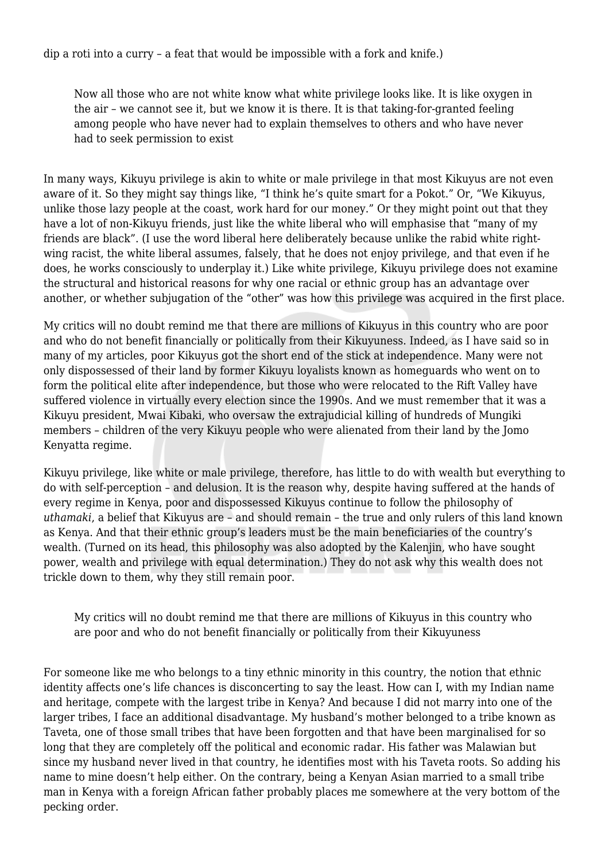dip a roti into a curry – a feat that would be impossible with a fork and knife.)

Now all those who are not white know what white privilege looks like. It is like oxygen in the air – we cannot see it, but we know it is there. It is that taking-for-granted feeling among people who have never had to explain themselves to others and who have never had to seek permission to exist

In many ways, Kikuyu privilege is akin to white or male privilege in that most Kikuyus are not even aware of it. So they might say things like, "I think he's quite smart for a Pokot." Or, "We Kikuyus, unlike those lazy people at the coast, work hard for our money." Or they might point out that they have a lot of non-Kikuyu friends, just like the white liberal who will emphasise that "many of my friends are black". (I use the word liberal here deliberately because unlike the rabid white rightwing racist, the white liberal assumes, falsely, that he does not enjoy privilege, and that even if he does, he works consciously to underplay it.) Like white privilege, Kikuyu privilege does not examine the structural and historical reasons for why one racial or ethnic group has an advantage over another, or whether subjugation of the "other" was how this privilege was acquired in the first place.

My critics will no doubt remind me that there are millions of Kikuyus in this country who are poor and who do not benefit financially or politically from their Kikuyuness. Indeed, as I have said so in many of my articles, poor Kikuyus got the short end of the stick at independence. Many were not only dispossessed of their land by former Kikuyu loyalists known as homeguards who went on to form the political elite after independence, but those who were relocated to the Rift Valley have suffered violence in virtually every election since the 1990s. And we must remember that it was a Kikuyu president, Mwai Kibaki, who oversaw the extrajudicial killing of hundreds of Mungiki members – children of the very Kikuyu people who were alienated from their land by the Jomo Kenyatta regime.

Kikuyu privilege, like white or male privilege, therefore, has little to do with wealth but everything to do with self-perception – and delusion. It is the reason why, despite having suffered at the hands of every regime in Kenya, poor and dispossessed Kikuyus continue to follow the philosophy of *uthamaki*, a belief that Kikuyus are – and should remain – the true and only rulers of this land known as Kenya. And that their ethnic group's leaders must be the main beneficiaries of the country's wealth. (Turned on its head, this philosophy was also adopted by the Kalenjin, who have sought power, wealth and privilege with equal determination.) They do not ask why this wealth does not trickle down to them, why they still remain poor.

My critics will no doubt remind me that there are millions of Kikuyus in this country who are poor and who do not benefit financially or politically from their Kikuyuness

For someone like me who belongs to a tiny ethnic minority in this country, the notion that ethnic identity affects one's life chances is disconcerting to say the least. How can I, with my Indian name and heritage, compete with the largest tribe in Kenya? And because I did not marry into one of the larger tribes, I face an additional disadvantage. My husband's mother belonged to a tribe known as Taveta, one of those small tribes that have been forgotten and that have been marginalised for so long that they are completely off the political and economic radar. His father was Malawian but since my husband never lived in that country, he identifies most with his Taveta roots. So adding his name to mine doesn't help either. On the contrary, being a Kenyan Asian married to a small tribe man in Kenya with a foreign African father probably places me somewhere at the very bottom of the pecking order.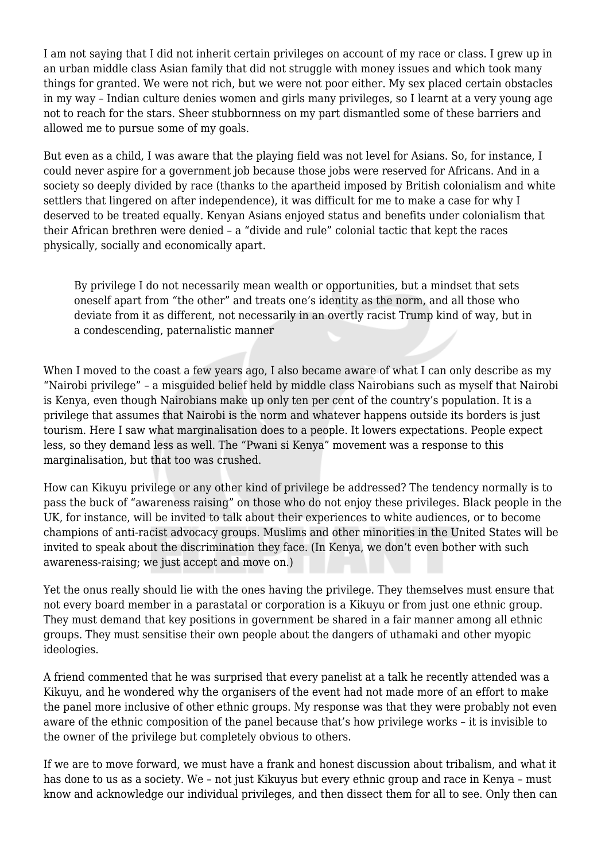I am not saying that I did not inherit certain privileges on account of my race or class. I grew up in an urban middle class Asian family that did not struggle with money issues and which took many things for granted. We were not rich, but we were not poor either. My sex placed certain obstacles in my way – Indian culture denies women and girls many privileges, so I learnt at a very young age not to reach for the stars. Sheer stubbornness on my part dismantled some of these barriers and allowed me to pursue some of my goals.

But even as a child, I was aware that the playing field was not level for Asians. So, for instance, I could never aspire for a government job because those jobs were reserved for Africans. And in a society so deeply divided by race (thanks to the apartheid imposed by British colonialism and white settlers that lingered on after independence), it was difficult for me to make a case for why I deserved to be treated equally. Kenyan Asians enjoyed status and benefits under colonialism that their African brethren were denied – a "divide and rule" colonial tactic that kept the races physically, socially and economically apart.

By privilege I do not necessarily mean wealth or opportunities, but a mindset that sets oneself apart from "the other" and treats one's identity as the norm, and all those who deviate from it as different, not necessarily in an overtly racist Trump kind of way, but in a condescending, paternalistic manner

When I moved to the coast a few years ago, I also became aware of what I can only describe as my "Nairobi privilege" – a misguided belief held by middle class Nairobians such as myself that Nairobi is Kenya, even though Nairobians make up only ten per cent of the country's population. It is a privilege that assumes that Nairobi is the norm and whatever happens outside its borders is just tourism. Here I saw what marginalisation does to a people. It lowers expectations. People expect less, so they demand less as well. The "Pwani si Kenya" movement was a response to this marginalisation, but that too was crushed.

How can Kikuyu privilege or any other kind of privilege be addressed? The tendency normally is to pass the buck of "awareness raising" on those who do not enjoy these privileges. Black people in the UK, for instance, will be invited to talk about their experiences to white audiences, or to become champions of anti-racist advocacy groups. Muslims and other minorities in the United States will be invited to speak about the discrimination they face. (In Kenya, we don't even bother with such awareness-raising; we just accept and move on.)

Yet the onus really should lie with the ones having the privilege. They themselves must ensure that not every board member in a parastatal or corporation is a Kikuyu or from just one ethnic group. They must demand that key positions in government be shared in a fair manner among all ethnic groups. They must sensitise their own people about the dangers of uthamaki and other myopic ideologies.

A friend commented that he was surprised that every panelist at a talk he recently attended was a Kikuyu, and he wondered why the organisers of the event had not made more of an effort to make the panel more inclusive of other ethnic groups. My response was that they were probably not even aware of the ethnic composition of the panel because that's how privilege works – it is invisible to the owner of the privilege but completely obvious to others.

If we are to move forward, we must have a frank and honest discussion about tribalism, and what it has done to us as a society. We – not just Kikuyus but every ethnic group and race in Kenya – must know and acknowledge our individual privileges, and then dissect them for all to see. Only then can